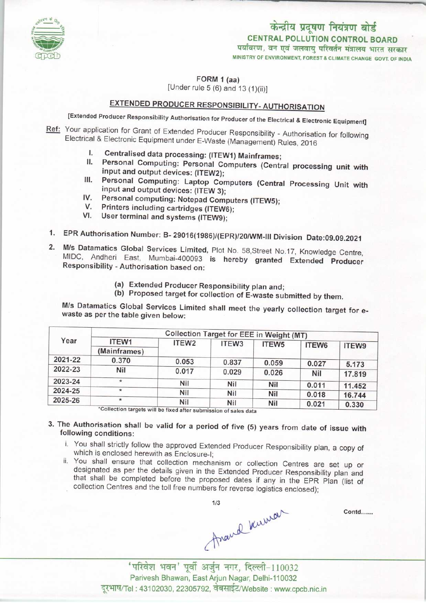

# केन्द्रीय प्रदूषण नियंत्रण बोर्ड CENTRAL POLLUTION CONTROL BOARD<br>पर्यावरण, वन एवं जलवायु परिवर्तन मंत्रालय भारत सरकार

MINISTRY OF ENVIRONMENT, FOREST & CLIMATE CHANGE GOVT. OF INDIA

FORM 1 (aa)

[Under rule 5 (6) and 13 (1)(ii)]

## EXTENDED PRODUCER RESPONSIBILITY-AUTHORISATION

[Extended Producer Responsibility Authorisation for Producer of the Electrical & Electronic Equipment]

- Ref: Your application for Grant of Extended Producer Responsibility Authorisation for following Electrical & Electronic Equipment under E-Waste (Management) Rules, 2016<br>
I. Centralised data processing: (ITEW1) Mainframes;<br>
I. Personal Computing: Personal Computing: Personal Computing
	-
	- I. Centralised data processing: (ITEW1) Mainframes;<br>II. Personal Computing: Personal Computers (Central processing unit with input and output devices: (1TEW2);
	- III. Personal Computing: Laptop Computers (Central Processing Unit with input and output devices: (ITEW 3); IV. Personal computing: Laptop Computers (Centrinput and output devices: (ITEW 3);<br>IV. Personal computing: Notepad Computers (ITEW5);
	- Input and output devices: (ITEW 3);<br>V. Personal computing: Notepad Computing<br>V. Printers including cartridges (ITEW6);
	- V. Printers including cartridges (ITEW6);<br>VI. User terminal and systems (ITEW9);
	-
- 1.EPR Authorisation Number: B-29016(1986)/(EPR)/20/WM-lll Division Date:09.09.2021
- 2.M/s Datamatics Global Services Limited, Plot No. 58,Street No.17, Knowledge Centre, MIDC, Andheri East, Mumbai-400093 is hereby granted Extended Producer Responsibility - Authorisation based on:
	- (a)Extended Producer Responsibility plan and;
	- (b) Proposed target for collection of E-waste submitted by them.

M/s Datamatics Global Services Limited shall meet the yearly collection target for ewaste as per the table given below:

| Year    | Collection Target for EEE in Weight (MT)                                       |                   |                   |       |       |        |
|---------|--------------------------------------------------------------------------------|-------------------|-------------------|-------|-------|--------|
|         | ITEW1<br>(Mainframes)                                                          | ITEW <sub>2</sub> | ITEW <sub>3</sub> | ITEW5 | ITEW6 | ITEW9  |
|         |                                                                                |                   |                   |       |       |        |
| 2022-23 | Nil                                                                            | 0.017             | 0.029             | 0.026 | Nil   | 17.819 |
| 2023-24 | $\star$                                                                        | Nil               | Nil               | Nil   | 0.011 | 11.452 |
| 2024-25 | $\star$                                                                        | Nil               | Nil               | Nil   | 0.018 | 16.744 |
| 2025-26 | $^{\star}$<br>*Collection targets will be fixed after submission of sales data | Nil               | Nil               | Nil   | 0.021 | 0.330  |

sion of sales data

#### 3. The Authorisation shall be valid for a period of five (5) years from date of issue with following conditions:

- i. You shall strictly follow the approved Extended Producer Responsibility plan, a copy of which is enclosed herewith as Enclosure-I;
- ii. You shall ensure that collection mechanism or collection Centres are set up or designated as per the details given in the Extended Producer Responsibility plan and that shall be completed before the proposed dates if any in the EPR Plan (list of collection Centres and the toll free numbers for reverse logistics enclosed);

Contd......

1/3<br>1/3<br>'परिवेश भवन' पूर्वी अर्जुन नगर, दिल्ली-110032

Parivesh Bhawan, East Arjun Nagar, Delhi-110032 दूरभाष/Tel: 43102030, 22305792, वेबसाईट/Website : www.cpcb.nic.in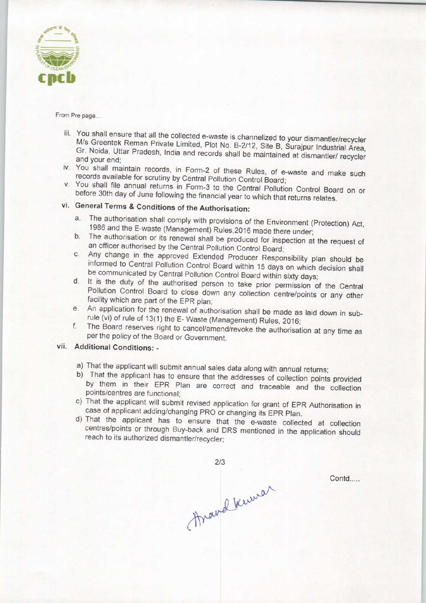

#### From Pre page....

- iii. You shall ensure that all the collected e-waste is channelized to your dismantler/recycler M/s Greentek Reman Private Limited, Plot No. B-2/12, Site B, Surajpur Industrial Area, Gr. Noida, Uttar Pradesh, India and records shall be maintained at dismantler/ recycler and your end;
- iv. You shall maintain records, in Form-2 of these Rules, of e-waste and make such records available for scrutiny by Central Pollution Control Board;
- v. You shall file annual returns in Form-3 to the Central Pollution Control Board on or before 30th day of June following the financial year to which that returns relates.

### vi. General Terms & Conditions of the Authorisation:

- a.The authorisation shall comply with provisions of the Environment (Protection) Act, 1986 and the E-waste (Management) Rules.2016 made there under;
- b. The authorisation or its renewal shall be produced for inspection at the request of an officer authorised by the Central Pollution Control Board;
- c.Any change in the approved Extended Producer Responsibility plan should be informed to Central Pollution Control Board within 15 days on which decision shall be communicated by Central Pollution Control Board within sixty days;
- d. It is the duty of the authorised person to take prior permission of the Central Pollution Control Board to close down any collection centre/points or any other facility which are part of the EPR plan;
- e.An application for the renewal of authorisation shall be made as laid down in subrule (vi) of rule of 13(1) the E- Waste (Management) Rules, 2016;
- f.The Board reserves right to cancel/amend/revoke the authorisation at any time as per the policy of the Board or Government.

#### vii. Additional Conditions: -

- a)That the applicant will submit annual sales data along with annual returns;
- b) That the applicant has to ensure that the addresses of collection points provided by them in their EPR Plan are correct and traceable and the collection points/centres are functional;
- c) That the applicant will submit revised application for grant of EPR Authorisation in case of applicant adding/changing PRO or changing its EPR Plan.
- d)That the applicant has to ensure that the e-waste collected at collection centres/points or through Buy-back and DRS mentioned in the application should reach to its authorized dismantler/recycler;

 $2/3$ 

Arand Kuman

Contd.....